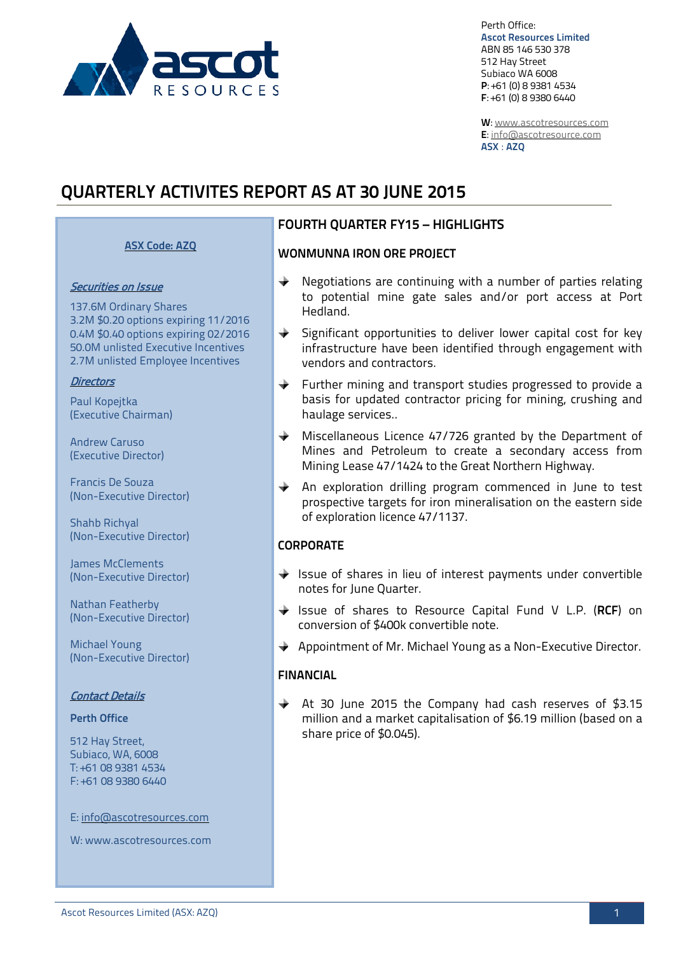

Perth Office: **Ascot Resources Limited** ABN 85 146 530 378 512 Hay Street Subiaco WA 6008 **P**: +61 (0) 8 9381 4534 **F**: +61 (0) 8 9380 6440

**W**: [www.ascotresources.com](http://www.ascotresources.com/) **E**[: info@ascotresource.com](mailto:info@ascotresource.com) **ASX** : **AZQ**

# **QUARTERLY ACTIVITES REPORT AS AT 30 JUNE 2015**

### **ASX Code: AZQ**

#### Securities on Issue

137.6M Ordinary Shares 3.2M \$0.20 options expiring 11/2016 0.4M \$0.40 options expiring 02/2016 50.0M unlisted Executive Incentives 2.7M unlisted Employee Incentives

#### **Directors**

Paul Kopejtka (Executive Chairman)

Andrew Caruso (Executive Director)

Francis De Souza (Non-Executive Director)

Shahb Richyal (Non-Executive Director)

James McClements (Non-Executive Director)

Nathan Featherby (Non-Executive Director)

Michael Young (Non-Executive Director)

#### Contact Details

### **Perth Office**

512 Hay Street, Subiaco, WA, 6008 T: +61 08 9381 4534 F: +61 08 9380 6440

E: info@ascotresources.com

W: www.ascotresources.com

### **FOURTH QUARTER FY15 – HIGHLIGHTS**

#### **WONMUNNA IRON ORE PROJECT**

- $\rightarrow$ Negotiations are continuing with a number of parties relating to potential mine gate sales and/or port access at Port Hedland.
- $\triangle$  Significant opportunities to deliver lower capital cost for key infrastructure have been identified through engagement with vendors and contractors.
- $\rightarrow$ Further mining and transport studies progressed to provide a basis for updated contractor pricing for mining, crushing and haulage services..
- $\ddotplus$ Miscellaneous Licence 47/726 granted by the Department of Mines and Petroleum to create a secondary access from Mining Lease 47/1424 to the Great Northern Highway.
- $+$ An exploration drilling program commenced in June to test prospective targets for iron mineralisation on the eastern side of exploration licence 47/1137.

#### **CORPORATE**

- $\blacklozenge$  Issue of shares in lieu of interest payments under convertible notes for June Quarter.
- Issue of shares to Resource Capital Fund V L.P. (**RCF**) on conversion of \$400k convertible note.
- $\blacklozenge$  Appointment of Mr. Michael Young as a Non-Executive Director.

### **FINANCIAL**

At 30 June 2015 the Company had cash reserves of \$3.15 million and a market capitalisation of \$6.19 million (based on a share price of \$0.045).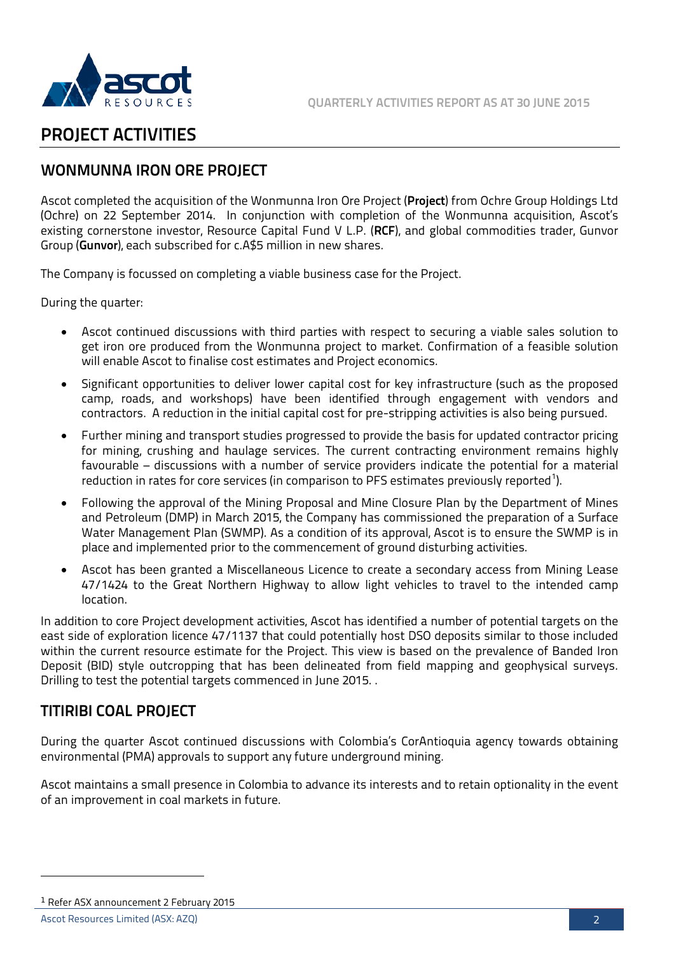

# **PROJECT ACTIVITIES**

# **WONMUNNA IRON ORE PROJECT**

Ascot completed the acquisition of the Wonmunna Iron Ore Project (**Project**) from Ochre Group Holdings Ltd (Ochre) on 22 September 2014. In conjunction with completion of the Wonmunna acquisition, Ascot's existing cornerstone investor, Resource Capital Fund V L.P. (**RCF**), and global commodities trader, Gunvor Group (**Gunvor**), each subscribed for c.A\$5 million in new shares.

The Company is focussed on completing a viable business case for the Project.

During the quarter:

- Ascot continued discussions with third parties with respect to securing a viable sales solution to get iron ore produced from the Wonmunna project to market. Confirmation of a feasible solution will enable Ascot to finalise cost estimates and Project economics.
- Significant opportunities to deliver lower capital cost for key infrastructure (such as the proposed camp, roads, and workshops) have been identified through engagement with vendors and contractors. A reduction in the initial capital cost for pre-stripping activities is also being pursued.
- Further mining and transport studies progressed to provide the basis for updated contractor pricing for mining, crushing and haulage services. The current contracting environment remains highly favourable – discussions with a number of service providers indicate the potential for a material reduction in rates for core services (in comparison to PFS estimates previously reported $^{\rm 1)}$  $^{\rm 1)}$  $^{\rm 1)}$ .
- Following the approval of the Mining Proposal and Mine Closure Plan by the Department of Mines and Petroleum (DMP) in March 2015, the Company has commissioned the preparation of a Surface Water Management Plan (SWMP). As a condition of its approval, Ascot is to ensure the SWMP is in place and implemented prior to the commencement of ground disturbing activities.
- Ascot has been granted a Miscellaneous Licence to create a secondary access from Mining Lease 47/1424 to the Great Northern Highway to allow light vehicles to travel to the intended camp location.

In addition to core Project development activities, Ascot has identified a number of potential targets on the east side of exploration licence 47/1137 that could potentially host DSO deposits similar to those included within the current resource estimate for the Project. This view is based on the prevalence of Banded Iron Deposit (BID) style outcropping that has been delineated from field mapping and geophysical surveys. Drilling to test the potential targets commenced in June 2015. .

# **TITIRIBI COAL PROJECT**

During the quarter Ascot continued discussions with Colombia's CorAntioquia agency towards obtaining environmental (PMA) approvals to support any future underground mining.

Ascot maintains a small presence in Colombia to advance its interests and to retain optionality in the event of an improvement in coal markets in future.

-

<span id="page-1-0"></span><sup>1</sup> Refer ASX announcement 2 February 2015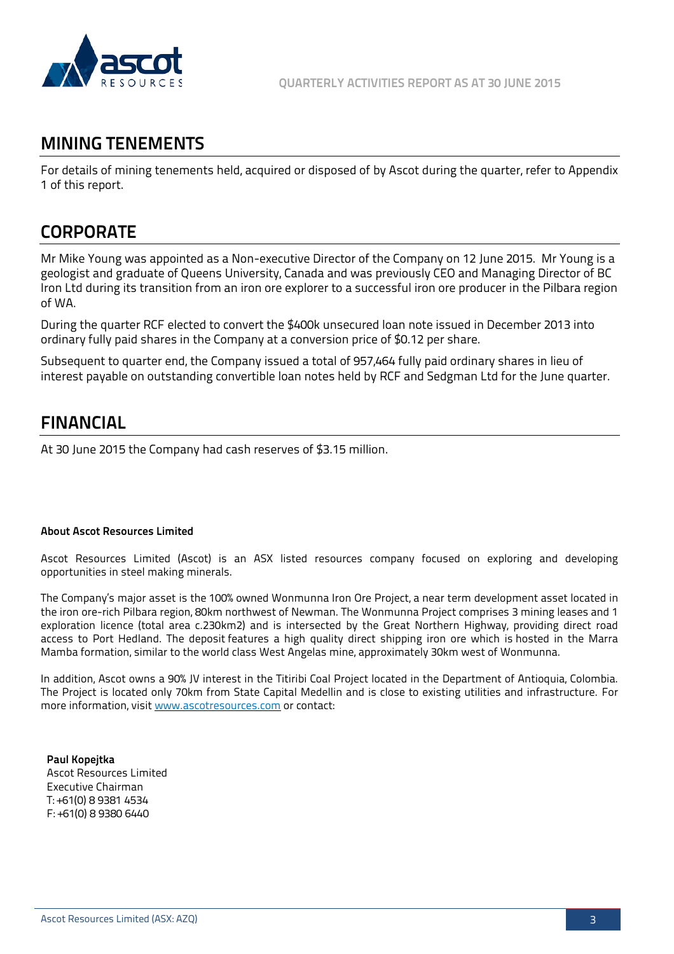

# **MINING TENEMENTS**

For details of mining tenements held, acquired or disposed of by Ascot during the quarter, refer to Appendix 1 of this report.

# **CORPORATE**

Mr Mike Young was appointed as a Non-executive Director of the Company on 12 June 2015. Mr Young is a geologist and graduate of Queens University, Canada and was previously CEO and Managing Director of BC Iron Ltd during its transition from an iron ore explorer to a successful iron ore producer in the Pilbara region of WA.

During the quarter RCF elected to convert the \$400k unsecured loan note issued in December 2013 into ordinary fully paid shares in the Company at a conversion price of \$0.12 per share.

Subsequent to quarter end, the Company issued a total of 957,464 fully paid ordinary shares in lieu of interest payable on outstanding convertible loan notes held by RCF and Sedgman Ltd for the June quarter.

# **FINANCIAL**

At 30 June 2015 the Company had cash reserves of \$3.15 million.

#### **About Ascot Resources Limited**

Ascot Resources Limited (Ascot) is an ASX listed resources company focused on exploring and developing opportunities in steel making minerals.

The Company's major asset is the 100% owned Wonmunna Iron Ore Project, a near term development asset located in the iron ore-rich Pilbara region, 80km northwest of Newman. The Wonmunna Project comprises 3 mining leases and 1 exploration licence (total area c.230km2) and is intersected by the Great Northern Highway, providing direct road access to Port Hedland. The deposit features a high quality direct shipping iron ore which is hosted in the Marra Mamba formation, similar to the world class West Angelas mine, approximately 30km west of Wonmunna.

In addition, Ascot owns a 90% JV interest in the Titiribi Coal Project located in the Department of Antioquia, Colombia. The Project is located only 70km from State Capital Medellin and is close to existing utilities and infrastructure. For more information, visi[t www.ascotresources.com](http://www.ascotresources.com/) or contact:

**Paul Kopejtka** Ascot Resources Limited Executive Chairman T: +61(0) 8 9381 4534 F: +61(0) 8 9380 6440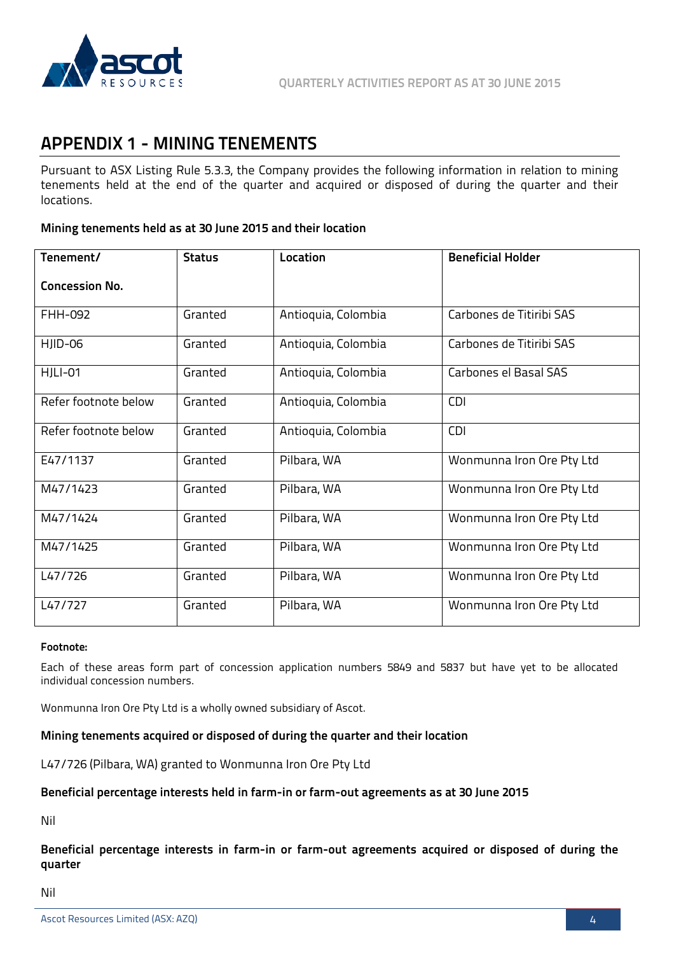

# **APPENDIX 1 - MINING TENEMENTS**

Pursuant to ASX Listing Rule 5.3.3, the Company provides the following information in relation to mining tenements held at the end of the quarter and acquired or disposed of during the quarter and their locations.

#### **Mining tenements held as at 30 June 2015 and their location**

| Tenement/             | <b>Status</b> | Location            | <b>Beneficial Holder</b>  |
|-----------------------|---------------|---------------------|---------------------------|
| <b>Concession No.</b> |               |                     |                           |
| FHH-092               | Granted       | Antioquia, Colombia | Carbones de Titiribi SAS  |
| HJID-06               | Granted       | Antioquia, Colombia | Carbones de Titiribi SAS  |
| <b>HJLI-01</b>        | Granted       | Antioquia, Colombia | Carbones el Basal SAS     |
| Refer footnote below  | Granted       | Antioquia, Colombia | <b>CDI</b>                |
| Refer footnote below  | Granted       | Antioquia, Colombia | <b>CDI</b>                |
| E47/1137              | Granted       | Pilbara, WA         | Wonmunna Iron Ore Pty Ltd |
| M47/1423              | Granted       | Pilbara, WA         | Wonmunna Iron Ore Pty Ltd |
| M47/1424              | Granted       | Pilbara, WA         | Wonmunna Iron Ore Pty Ltd |
| M47/1425              | Granted       | Pilbara, WA         | Wonmunna Iron Ore Pty Ltd |
| L47/726               | Granted       | Pilbara, WA         | Wonmunna Iron Ore Pty Ltd |
| L47/727               | Granted       | Pilbara, WA         | Wonmunna Iron Ore Pty Ltd |

#### **Footnote:**

Each of these areas form part of concession application numbers 5849 and 5837 but have yet to be allocated individual concession numbers.

Wonmunna Iron Ore Pty Ltd is a wholly owned subsidiary of Ascot.

#### **Mining tenements acquired or disposed of during the quarter and their location**

L47/726 (Pilbara, WA) granted to Wonmunna Iron Ore Pty Ltd

#### **Beneficial percentage interests held in farm-in or farm-out agreements as at 30 June 2015**

Nil

**Beneficial percentage interests in farm-in or farm-out agreements acquired or disposed of during the quarter** 

Nil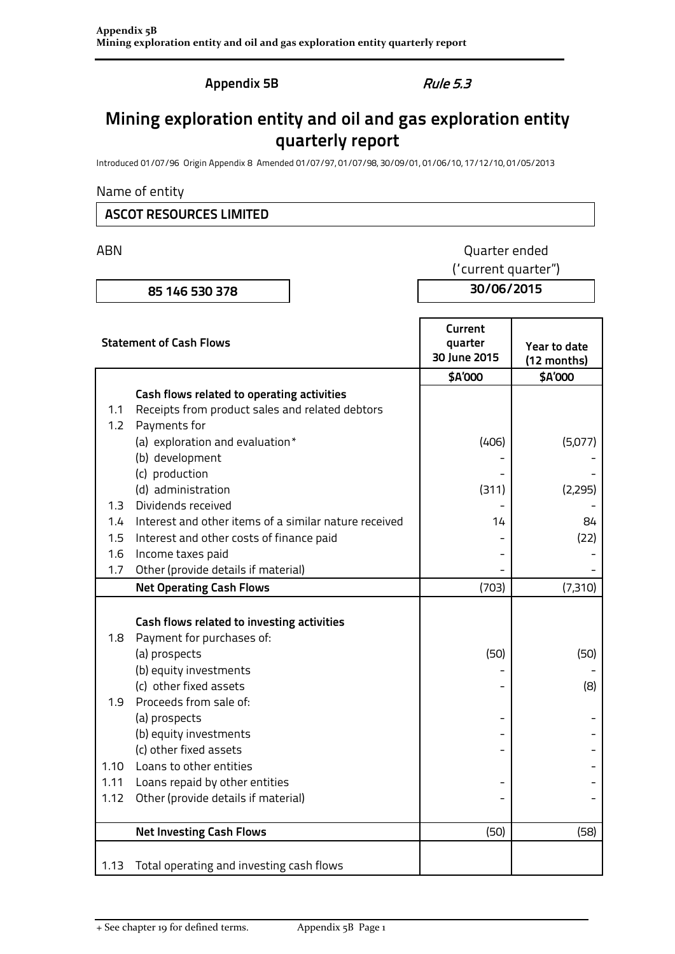**Appendix 5B** Rule 5.3

# **Mining exploration entity and oil and gas exploration entity quarterly report**

Introduced 01/07/96 Origin Appendix 8 Amended 01/07/97, 01/07/98, 30/09/01, 01/06/10, 17/12/10, 01/05/2013

### Name of entity

### **ASCOT RESOURCES LIMITED**

# ABN **ABN** Quarter ended

**85 146 530 378 30/06/2015**

("current quarter")

| <b>Statement of Cash Flows</b> |                                                       | Current<br>quarter<br>30 June 2015 | Year to date<br>(12 months) |
|--------------------------------|-------------------------------------------------------|------------------------------------|-----------------------------|
|                                |                                                       | \$A'000                            | \$A'000                     |
|                                | Cash flows related to operating activities            |                                    |                             |
| 1.1                            | Receipts from product sales and related debtors       |                                    |                             |
| 1.2                            | Payments for                                          |                                    |                             |
|                                | (a) exploration and evaluation*                       | (406)                              | (5,077)                     |
|                                | (b) development                                       |                                    |                             |
|                                | (c) production                                        |                                    |                             |
|                                | (d) administration                                    | (311)                              | (2,295)                     |
| 1.3                            | Dividends received                                    |                                    |                             |
| 1.4                            | Interest and other items of a similar nature received | 14                                 | 84                          |
| 1.5                            | Interest and other costs of finance paid              |                                    | (22)                        |
| 1.6                            | Income taxes paid                                     |                                    |                             |
| 1.7                            | Other (provide details if material)                   |                                    |                             |
|                                | <b>Net Operating Cash Flows</b>                       | (703)                              | (7,310)                     |
|                                |                                                       |                                    |                             |
|                                | Cash flows related to investing activities            |                                    |                             |
| 1.8                            | Payment for purchases of:                             |                                    |                             |
|                                | (a) prospects                                         | (50)                               | (50)                        |
|                                | (b) equity investments                                |                                    |                             |
|                                | (c) other fixed assets                                |                                    | (8)                         |
| 1.9                            | Proceeds from sale of:                                |                                    |                             |
|                                | (a) prospects                                         |                                    |                             |
|                                | (b) equity investments                                |                                    |                             |
|                                | (c) other fixed assets                                |                                    |                             |
| 1.10                           | Loans to other entities                               |                                    |                             |
| 1.11                           | Loans repaid by other entities                        |                                    |                             |
| 1.12                           | Other (provide details if material)                   |                                    |                             |
|                                | <b>Net Investing Cash Flows</b>                       | (50)                               | (58)                        |
| 1.13                           | Total operating and investing cash flows              |                                    |                             |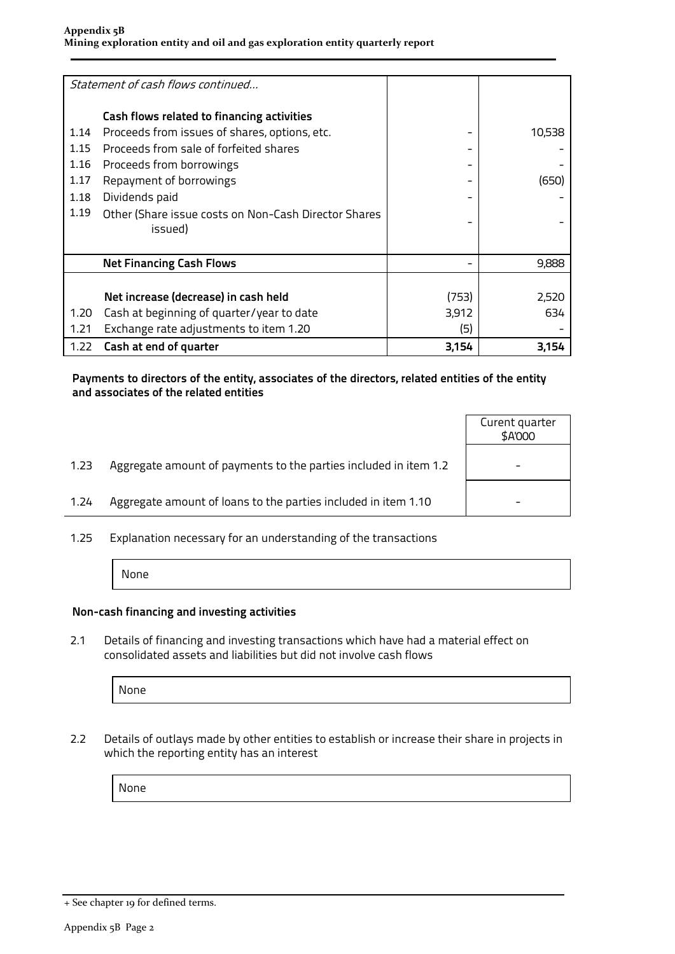|      | Statement of cash flows continued                    |       |        |
|------|------------------------------------------------------|-------|--------|
|      |                                                      |       |        |
|      | Cash flows related to financing activities           |       |        |
| 1.14 | Proceeds from issues of shares, options, etc.        |       | 10,538 |
| 1.15 | Proceeds from sale of forfeited shares               |       |        |
| 1.16 | Proceeds from borrowings                             |       |        |
| 1.17 | Repayment of borrowings                              |       | (650)  |
| 1.18 | Dividends paid                                       |       |        |
| 1.19 | Other (Share issue costs on Non-Cash Director Shares |       |        |
|      | issued)                                              |       |        |
|      |                                                      |       |        |
|      | <b>Net Financing Cash Flows</b>                      |       | 9,888  |
|      |                                                      |       |        |
|      | Net increase (decrease) in cash held                 | (753) | 2,520  |
| 1.20 | Cash at beginning of quarter/year to date            | 3,912 | 634.   |
| 1.21 | Exchange rate adjustments to item 1.20               | (5)   |        |
| 1.22 | Cash at end of quarter                               | 3,154 | 3,154  |

#### **Payments to directors of the entity, associates of the directors, related entities of the entity and associates of the related entities**

|      |                                                                  | Curent quarter<br>\$A'000 |
|------|------------------------------------------------------------------|---------------------------|
| 1.23 | Aggregate amount of payments to the parties included in item 1.2 |                           |
| 1.24 | Aggregate amount of loans to the parties included in item 1.10   |                           |
|      |                                                                  |                           |

1.25 Explanation necessary for an understanding of the transactions

None

### **Non-cash financing and investing activities**

2.1 Details of financing and investing transactions which have had a material effect on consolidated assets and liabilities but did not involve cash flows

None

2.2 Details of outlays made by other entities to establish or increase their share in projects in which the reporting entity has an interest

None

<sup>+</sup> See chapter 19 for defined terms.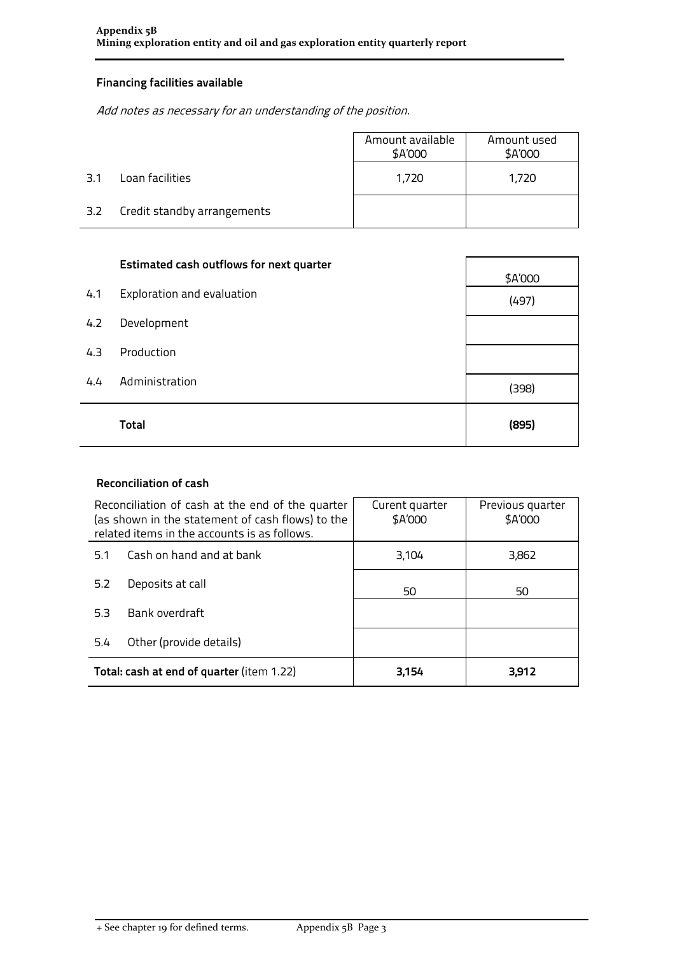## **Financing facilities available**

Add notes as necessary for an understanding of the position.

|     |                             | Amount available<br>\$A'000 | Amount used<br>\$A'000 |
|-----|-----------------------------|-----------------------------|------------------------|
| 3.1 | Loan facilities             | 1,720                       | 1,720                  |
| 3.2 | Credit standby arrangements |                             |                        |

|     | <b>Estimated cash outflows for next quarter</b> | \$A'000 |
|-----|-------------------------------------------------|---------|
| 4.1 | Exploration and evaluation                      | (497)   |
| 4.2 | Development                                     |         |
| 4.3 | Production                                      |         |
| 4.4 | Administration                                  | (398)   |
|     | <b>Total</b>                                    | (895)   |

### **Reconciliation of cash**

| Reconciliation of cash at the end of the quarter<br>(as shown in the statement of cash flows) to the<br>related items in the accounts is as follows. |                                           | Curent quarter<br>\$A'000 | Previous quarter<br>\$A'000 |
|------------------------------------------------------------------------------------------------------------------------------------------------------|-------------------------------------------|---------------------------|-----------------------------|
| 5.1                                                                                                                                                  | Cash on hand and at bank                  | 3,104                     | 3,862                       |
| 5.2                                                                                                                                                  | Deposits at call                          | 50                        | 50                          |
| 5.3                                                                                                                                                  | Bank overdraft                            |                           |                             |
| 5.4                                                                                                                                                  | Other (provide details)                   |                           |                             |
|                                                                                                                                                      | Total: cash at end of quarter (item 1.22) | 3,154                     | 3,912                       |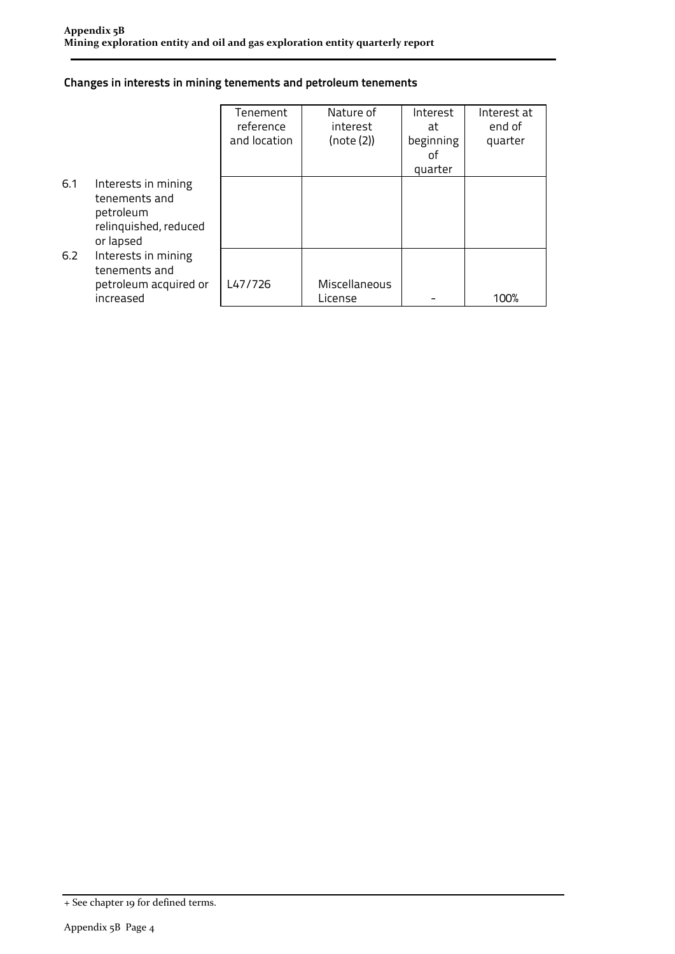### **Changes in interests in mining tenements and petroleum tenements**

|     |                                                                                         | Tenement<br>reference<br>and location | Nature of<br>interest<br>(note (2)) | Interest<br>at<br>beginning<br>οf<br>quarter | Interest at<br>end of<br>quarter |
|-----|-----------------------------------------------------------------------------------------|---------------------------------------|-------------------------------------|----------------------------------------------|----------------------------------|
| 6.1 | Interests in mining<br>tenements and<br>petroleum<br>relinquished, reduced<br>or lapsed |                                       |                                     |                                              |                                  |
| 6.2 | Interests in mining<br>tenements and<br>petroleum acquired or<br>increased              | L47/726                               | Miscellaneous<br>License            |                                              | 100%                             |

<sup>+</sup> See chapter 19 for defined terms.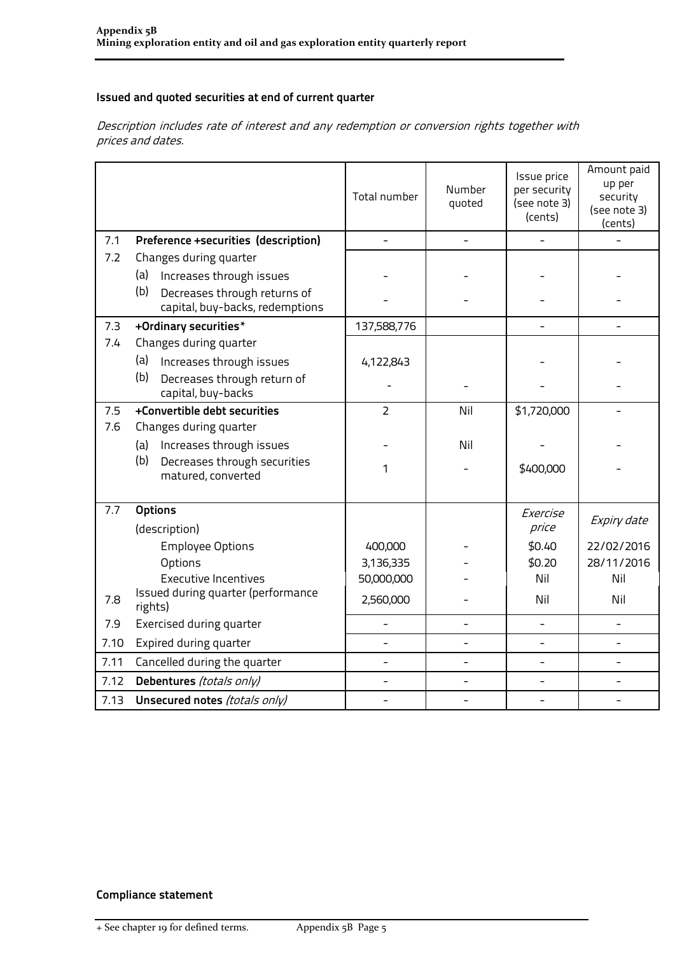### **Issued and quoted securities at end of current quarter**

Description includes rate of interest and any redemption or conversion rights together with prices and dates.

|      |                                                                        | Total number   | Number<br>quoted | Issue price<br>per security<br>(see note 3)<br>(cents) | Amount paid<br>up per<br>security<br>(see note 3)<br>(cents) |
|------|------------------------------------------------------------------------|----------------|------------------|--------------------------------------------------------|--------------------------------------------------------------|
| 7.1  | Preference +securities (description)                                   |                |                  |                                                        |                                                              |
| 7.2  | Changes during quarter                                                 |                |                  |                                                        |                                                              |
|      | (a)<br>Increases through issues                                        |                |                  |                                                        |                                                              |
|      | (b)<br>Decreases through returns of<br>capital, buy-backs, redemptions |                |                  |                                                        |                                                              |
| 7.3  | +Ordinary securities*                                                  | 137,588,776    |                  |                                                        |                                                              |
| 7.4  | Changes during quarter                                                 |                |                  |                                                        |                                                              |
|      | (a)<br>Increases through issues                                        | 4,122,843      |                  |                                                        |                                                              |
|      | (b)<br>Decreases through return of<br>capital, buy-backs               |                |                  |                                                        |                                                              |
| 7.5  | +Convertible debt securities                                           | $\overline{2}$ | Nil              | \$1,720,000                                            |                                                              |
| 7.6  | Changes during quarter                                                 |                |                  |                                                        |                                                              |
|      | Increases through issues<br>(a)                                        |                | Nil              |                                                        |                                                              |
|      | (b)<br>Decreases through securities<br>matured, converted              | 1              |                  | \$400,000                                              |                                                              |
| 7.7  | <b>Options</b>                                                         |                |                  | Exercise                                               |                                                              |
|      | (description)                                                          |                |                  | price                                                  | Expiry date                                                  |
|      | <b>Employee Options</b>                                                | 400,000        |                  | \$0.40                                                 | 22/02/2016                                                   |
|      | Options                                                                | 3,136,335      |                  | \$0.20                                                 | 28/11/2016                                                   |
|      | <b>Executive Incentives</b>                                            | 50,000,000     |                  | Nil                                                    | Nil                                                          |
| 7.8  | Issued during quarter (performance<br>rights)                          | 2,560,000      |                  | Nil                                                    | Nil                                                          |
| 7.9  | Exercised during quarter                                               |                |                  | $\overline{\phantom{0}}$                               |                                                              |
| 7.10 | Expired during quarter                                                 | $\overline{a}$ | $\overline{a}$   | $\overline{a}$                                         |                                                              |
| 7.11 | Cancelled during the quarter                                           |                |                  |                                                        |                                                              |
| 7.12 | Debentures (totals only)                                               |                |                  |                                                        |                                                              |
| 7.13 | Unsecured notes (totals only)                                          |                |                  |                                                        |                                                              |

### **Compliance statement**